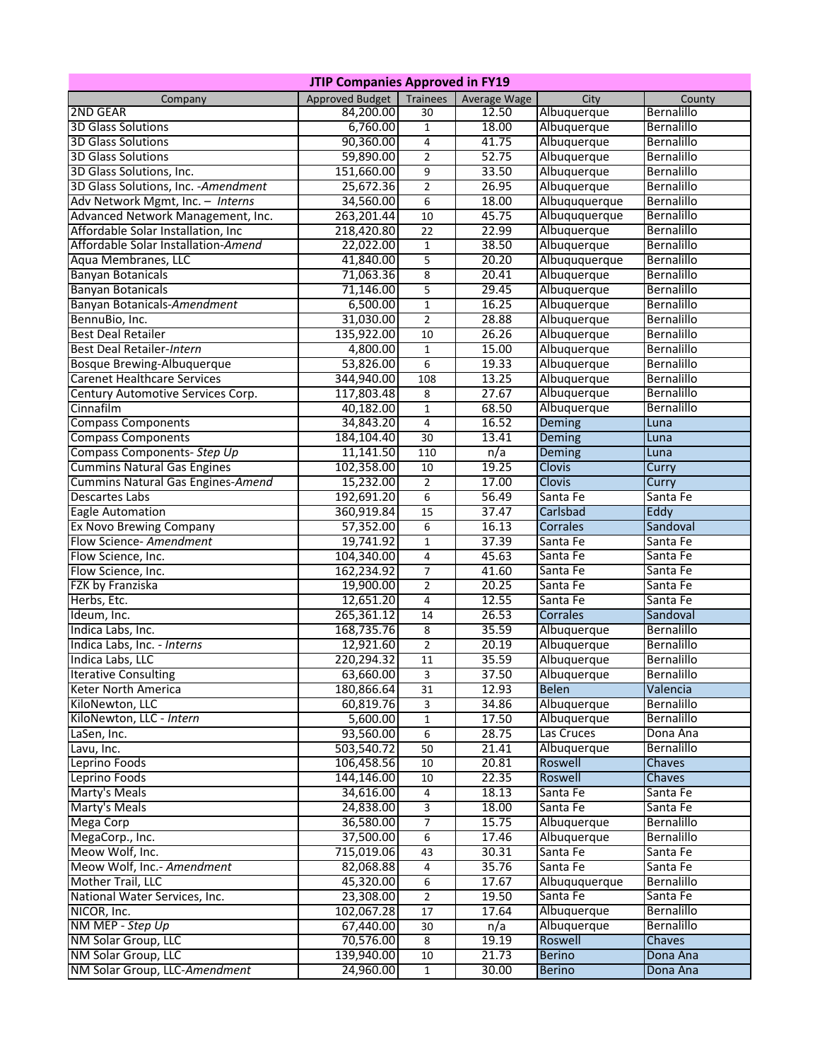| <b>JTIP Companies Approved in FY19</b> |                        |                         |              |               |                   |  |  |  |  |
|----------------------------------------|------------------------|-------------------------|--------------|---------------|-------------------|--|--|--|--|
| Company                                | <b>Approved Budget</b> | Trainees                | Average Wage | City          | County            |  |  |  |  |
| 2ND GEAR                               | 84,200.00              | $\overline{30}$         | 12.50        | Albuquerque   | Bernalillo        |  |  |  |  |
| <b>3D Glass Solutions</b>              | 6,760.00               | $\mathbf{1}$            | 18.00        | Albuquerque   | Bernalillo        |  |  |  |  |
| <b>3D Glass Solutions</b>              | 90,360.00              | 4                       | 41.75        | Albuquerque   | Bernalillo        |  |  |  |  |
| <b>3D Glass Solutions</b>              | 59,890.00              | $\overline{2}$          | 52.75        | Albuquerque   | Bernalillo        |  |  |  |  |
| 3D Glass Solutions, Inc.               | 151,660.00             | 9                       | 33.50        | Albuquerque   | Bernalillo        |  |  |  |  |
| 3D Glass Solutions, Inc. - Amendment   | 25,672.36              | $\overline{2}$          | 26.95        | Albuquerque   | Bernalillo        |  |  |  |  |
| Adv Network Mgmt, Inc. - Interns       | 34,560.00              | 6                       | 18.00        | Albuququerque | Bernalillo        |  |  |  |  |
| Advanced Network Management, Inc.      | 263,201.44             | 10                      | 45.75        | Albuququerque | Bernalillo        |  |  |  |  |
| Affordable Solar Installation, Inc.    | 218,420.80             | 22                      | 22.99        | Albuquerque   | Bernalillo        |  |  |  |  |
| Affordable Solar Installation-Amend    | 22,022.00              | $\mathbf{1}$            | 38.50        | Albuquerque   | Bernalillo        |  |  |  |  |
| Aqua Membranes, LLC                    | 41,840.00              | 5                       | 20.20        | Albuququerque | Bernalillo        |  |  |  |  |
| <b>Banyan Botanicals</b>               | 71,063.36              | 8                       | 20.41        | Albuquerque   | <b>Bernalillo</b> |  |  |  |  |
| <b>Banyan Botanicals</b>               | 71,146.00              | 5                       | 29.45        | Albuquerque   | Bernalillo        |  |  |  |  |
| Banyan Botanicals-Amendment            | 6,500.00               | $1\,$                   | 16.25        | Albuquerque   | Bernalillo        |  |  |  |  |
| BennuBio, Inc.                         | 31,030.00              | $\overline{2}$          | 28.88        | Albuquerque   | Bernalillo        |  |  |  |  |
| <b>Best Deal Retailer</b>              | 135,922.00             | 10                      | 26.26        | Albuquerque   | Bernalillo        |  |  |  |  |
| Best Deal Retailer-Intern              | 4,800.00               | $\overline{1}$          | 15.00        | Albuquerque   | Bernalillo        |  |  |  |  |
| Bosque Brewing-Albuquerque             | 53,826.00              | 6                       | 19.33        | Albuquerque   | Bernalillo        |  |  |  |  |
| <b>Carenet Healthcare Services</b>     | 344,940.00             | 108                     | 13.25        | Albuquerque   | Bernalillo        |  |  |  |  |
| Century Automotive Services Corp.      | 117,803.48             | $\overline{\mathbf{8}}$ | 27.67        | Albuquerque   | Bernalillo        |  |  |  |  |
| Cinnafilm                              | 40,182.00              | $\mathbf{1}$            | 68.50        | Albuquerque   | Bernalillo        |  |  |  |  |
| <b>Compass Components</b>              | 34,843.20              | 4                       | 16.52        | Deming        | Luna              |  |  |  |  |
| <b>Compass Components</b>              | 184,104.40             | 30                      | 13.41        | Deming        | Luna              |  |  |  |  |
| Compass Components- Step Up            | 11,141.50              | 110                     | n/a          | Deming        | Luna              |  |  |  |  |
| <b>Cummins Natural Gas Engines</b>     | 102,358.00             | 10                      | 19.25        | Clovis        | Curry             |  |  |  |  |
| Cummins Natural Gas Engines-Amend      | 15,232.00              | $\overline{2}$          | 17.00        | <b>Clovis</b> | Curry             |  |  |  |  |
| <b>Descartes Labs</b>                  | 192,691.20             | 6                       | 56.49        | Santa Fe      | Santa Fe          |  |  |  |  |
| <b>Eagle Automation</b>                | 360,919.84             | $\overline{15}$         | 37.47        | Carlsbad      | Eddy              |  |  |  |  |
| Ex Novo Brewing Company                | 57,352.00              | 6                       | 16.13        | Corrales      | Sandoval          |  |  |  |  |
| Flow Science- Amendment                | 19,741.92              | $\mathbf{1}$            | 37.39        | Santa Fe      | Santa Fe          |  |  |  |  |
| Flow Science, Inc.                     | 104,340.00             | $\overline{4}$          | 45.63        | Santa Fe      | Santa Fe          |  |  |  |  |
| Flow Science, Inc.                     | 162,234.92             | $\overline{7}$          | 41.60        | Santa Fe      | Santa Fe          |  |  |  |  |
| FZK by Franziska                       | 19,900.00              | $\overline{2}$          | 20.25        | Santa Fe      | Santa Fe          |  |  |  |  |
| Herbs, Etc.                            | 12,651.20              | $\overline{4}$          | 12.55        | Santa Fe      | Santa Fe          |  |  |  |  |
| Ideum, Inc.                            | 265,361.12             | $\overline{14}$         | 26.53        | Corrales      | Sandoval          |  |  |  |  |
| Indica Labs, Inc.                      | 168,735.76             | 8                       | 35.59        | Albuquerque   | <b>Bernalillo</b> |  |  |  |  |
| Indica Labs, Inc. - Interns            | 12,921.60              | $\overline{2}$          | 20.19        | Albuquerque   | Bernalillo        |  |  |  |  |
| Indica Labs, LLC                       | 220,294.32             | $\overline{11}$         | 35.59        | Albuquerque   | Bernalillo        |  |  |  |  |
| <b>Iterative Consulting</b>            | 63,660.00              | 3                       | 37.50        | Albuquerque   | <b>Bernalillo</b> |  |  |  |  |
| Keter North America                    | 180,866.64             | 31                      | 12.93        | <b>Belen</b>  | Valencia          |  |  |  |  |
| KiloNewton, LLC                        | 60,819.76              | 3                       | 34.86        | Albuquerque   | Bernalillo        |  |  |  |  |
| KiloNewton, LLC - Intern               | 5,600.00               | $\mathbf{1}$            | 17.50        | Albuquerque   | Bernalillo        |  |  |  |  |
| LaSen, Inc.                            | 93,560.00              | 6                       | 28.75        | Las Cruces    | Dona Ana          |  |  |  |  |
| Lavu, Inc.                             | 503,540.72             | 50                      | 21.41        | Albuquerque   | Bernalillo        |  |  |  |  |
| Leprino Foods                          | 106,458.56             | 10                      | 20.81        | Roswell       | Chaves            |  |  |  |  |
| Leprino Foods                          | 144,146.00             | 10                      | 22.35        | Roswell       | Chaves            |  |  |  |  |
| <b>Marty's Meals</b>                   | 34,616.00              | $\overline{4}$          | 18.13        | Santa Fe      | Santa Fe          |  |  |  |  |
| <b>Marty's Meals</b>                   | 24,838.00              | $\overline{3}$          | 18.00        | Santa Fe      | Santa Fe          |  |  |  |  |
| <b>Mega Corp</b>                       | 36,580.00              | $\overline{7}$          | 15.75        | Albuquerque   | Bernalillo        |  |  |  |  |
| MegaCorp., Inc.                        | 37,500.00              | 6                       | 17.46        | Albuquerque   | Bernalillo        |  |  |  |  |
| Meow Wolf, Inc.                        | 715,019.06             | 43                      | 30.31        | Santa Fe      | Santa Fe          |  |  |  |  |
| Meow Wolf, Inc.- Amendment             | 82,068.88              | $\overline{4}$          | 35.76        | Santa Fe      | Santa Fe          |  |  |  |  |
| Mother Trail, LLC                      | 45,320.00              | 6                       | 17.67        | Albuququerque | Bernalillo        |  |  |  |  |
| National Water Services, Inc.          | 23,308.00              | $\overline{2}$          | 19.50        | Santa Fe      | Santa Fe          |  |  |  |  |
| NICOR, Inc.                            | 102,067.28             | 17                      | 17.64        | Albuquerque   | Bernalillo        |  |  |  |  |
| NM MEP - Step Up                       | 67,440.00              | 30                      | n/a          | Albuquerque   | Bernalillo        |  |  |  |  |
| NM Solar Group, LLC                    | 70,576.00              | $\overline{\mathbf{8}}$ | 19.19        | Roswell       | Chaves            |  |  |  |  |
| NM Solar Group, LLC                    | 139,940.00             | 10                      | 21.73        | <b>Berino</b> | Dona Ana          |  |  |  |  |
| NM Solar Group, LLC-Amendment          | 24,960.00              | $\mathbf{1}$            | 30.00        | <b>Berino</b> | Dona Ana          |  |  |  |  |